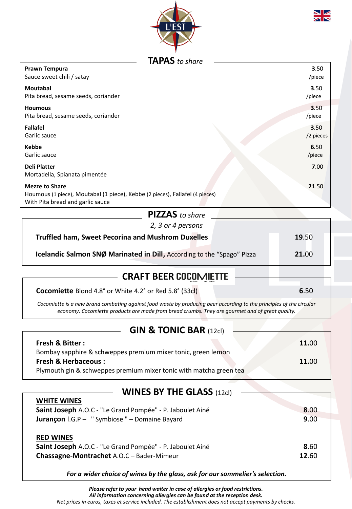



#### **TAPAS** *to share*

| Prawn Tempura                                                                                                                             | 3.50      |
|-------------------------------------------------------------------------------------------------------------------------------------------|-----------|
| Sauce sweet chili / satay                                                                                                                 | /piece    |
| <b>Moutabal</b>                                                                                                                           | 3.50      |
| Pita bread, sesame seeds, coriander                                                                                                       | /piece    |
| <b>Houmous</b>                                                                                                                            | 3.50      |
| Pita bread, sesame seeds, coriander                                                                                                       | /piece    |
| <b>Fallafel</b>                                                                                                                           | 3.50      |
| Garlic sauce                                                                                                                              | /2 pieces |
| <b>Kebbe</b>                                                                                                                              | 6.50      |
| Garlic sauce                                                                                                                              | /piece    |
| <b>Deli Platter</b><br>Mortadella, Spianata pimentée                                                                                      | 7.00      |
| <b>Mezze to Share</b><br>Houmous (1 piece), Moutabal (1 piece), Kebbe (2 pieces), Fallafel (4 pieces)<br>With Pita bread and garlic sauce | 21.50     |
| $PIZZAS$ to share                                                                                                                         |           |

| <b>FILLAJ</b> to shure                                                 |       |
|------------------------------------------------------------------------|-------|
| 2, 3 or 4 persons                                                      |       |
| <b>Truffled ham, Sweet Pecorina and Mushrom Duxelles</b>               | 19.50 |
| Icelandic Salmon SNØ Marinated in Dill, According to the "Spago" Pizza | 21.00 |
|                                                                        |       |

# **CRAFT BEER**

**Cocomiette** Blond 4.8° or White 4.2° or Red 5.8° (33cl) **6**.50

*Cocomiette is a new brand combating against food waste by producing beer according to the principles of the circular economy. Cocomiette products are made from bread crumbs. They are gourmet and of great quality.* 

## **GIN & TONIC BAR (12cl)**

| <b>Fresh &amp; Bitter:</b>                                         | 11.00 |
|--------------------------------------------------------------------|-------|
| Bombay sapphire & schweppes premium mixer tonic, green lemon       |       |
| <b>Fresh &amp; Herbaceous:</b>                                     | 11.00 |
| Plymouth gin & schweppes premium mixer tonic with matcha green tea |       |

#### **WINES BY THE GLASS** (12cl)

**WHITE WINES** 

| VVUILLE VVIIVES<br>Saint Joseph A.O.C - "Le Grand Pompée" - P. Jaboulet Ainé<br><b>Jurançon</b> I.G.P - " Symbiose " - Domaine Bayard | 8.00<br>9.00  |
|---------------------------------------------------------------------------------------------------------------------------------------|---------------|
| <b>RED WINES</b><br>Saint Joseph A.O.C - "Le Grand Pompée" - P. Jaboulet Ainé<br>Chassagne-Montrachet A.O.C - Bader-Mimeur            | 8.60<br>12.60 |

*For a wider choice of wines by the glass, ask for our sommelier's selection.*